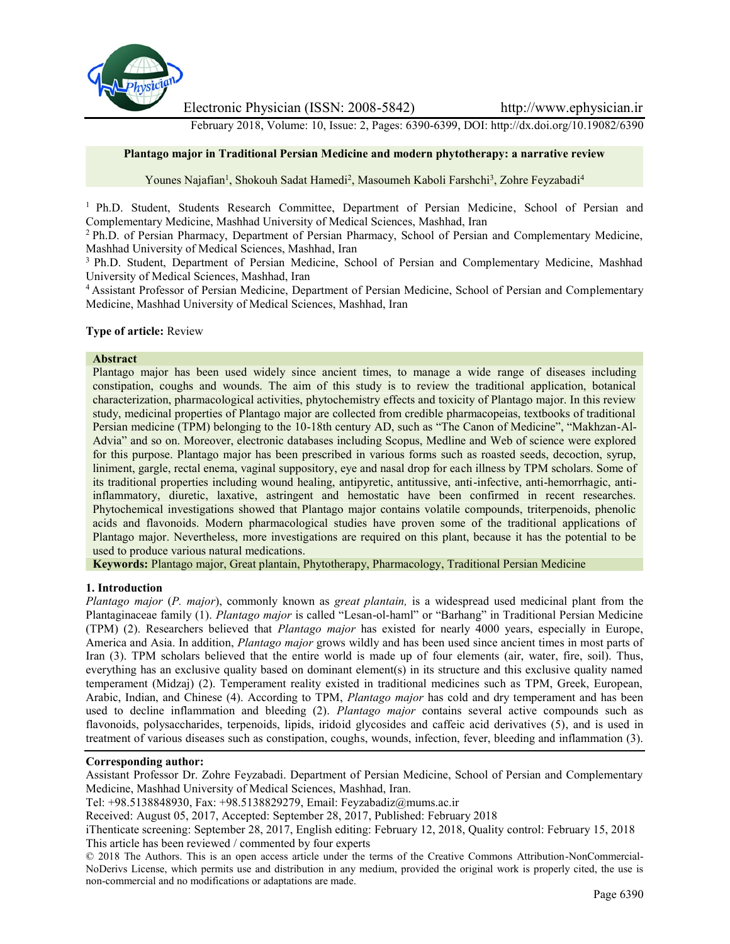

Electronic Physician (ISSN: 2008-5842) http://www.ephysician.ir

February 2018, Volume: 10, Issue: 2, Pages: 6390-6399, DOI: http://dx.doi.org/10.19082/6390

## **Plantago major in Traditional Persian Medicine and modern phytotherapy: a narrative review**

Younes Najafian<sup>1</sup>, Shokouh Sadat Hamedi<sup>2</sup>, Masoumeh Kaboli Farshchi<sup>3</sup>, Zohre Feyzabadi<sup>4</sup>

<sup>1</sup> Ph.D. Student, Students Research Committee, Department of Persian Medicine, School of Persian and Complementary Medicine, Mashhad University of Medical Sciences, Mashhad, Iran

<sup>2</sup> Ph.D. of Persian Pharmacy, Department of Persian Pharmacy, School of Persian and Complementary Medicine, Mashhad University of Medical Sciences, Mashhad, Iran

<sup>3</sup> Ph.D. Student, Department of Persian Medicine, School of Persian and Complementary Medicine, Mashhad University of Medical Sciences, Mashhad, Iran

<sup>4</sup> Assistant Professor of Persian Medicine, Department of Persian Medicine, School of Persian and Complementary Medicine, Mashhad University of Medical Sciences, Mashhad, Iran

#### **Type of article:** Review

#### **Abstract**

Plantago major has been used widely since ancient times, to manage a wide range of diseases including constipation, coughs and wounds. The aim of this study is to review the traditional application, botanical characterization, pharmacological activities, phytochemistry effects and toxicity of Plantago major. In this review study, medicinal properties of Plantago major are collected from credible pharmacopeias, textbooks of traditional Persian medicine (TPM) belonging to the 10-18th century AD, such as "The Canon of Medicine", "Makhzan-Al- Advia" and so on. Moreover, electronic databases including Scopus, Medline and Web of science were explored for this purpose. Plantago major has been prescribed in various forms such as roasted seeds, decoction, syrup, liniment, gargle, rectal enema, vaginal suppository, eye and nasal drop for each illness by TPM scholars. Some of its traditional properties including wound healing, antipyretic, antitussive, anti-infective, anti-hemorrhagic, antiinflammatory, diuretic, laxative, astringent and hemostatic have been confirmed in recent researches. Phytochemical investigations showed that Plantago major contains volatile compounds, triterpenoids, phenolic acids and flavonoids. Modern pharmacological studies have proven some of the traditional applications of Plantago major. Nevertheless, more investigations are required on this plant, because it has the potential to be used to produce various natural medications.

**Keywords:** Plantago major, Great plantain, Phytotherapy, Pharmacology, Traditional Persian Medicine

#### **1. Introduction**

*Plantago major* (*P. major*), commonly known as *great plantain,* is a widespread used medicinal plant from the Plantaginaceae family (1). *Plantago major* is called "Lesan-ol-haml" or "Barhang" in Traditional Persian Medicine (TPM) (2). Researchers believed that *Plantago major* has existed for nearly 4000 years, especially in Europe, America and Asia. In addition, *Plantago major* grows wildly and has been used since ancient times in most parts of Iran (3). TPM scholars believed that the entire world is made up of four elements (air, water, fire, soil). Thus, everything has an exclusive quality based on dominant element(s) in its structure and this exclusive quality named temperament (Midzaj) (2). Temperament reality existed in traditional medicines such as TPM, Greek, European, Arabic, Indian, and Chinese (4). According to TPM, *Plantago major* has cold and dry temperament and has been used to decline inflammation and bleeding (2). *Plantago major* contains several active compounds such as flavonoids, polysaccharides, terpenoids, lipids, iridoid glycosides and caffeic acid derivatives (5), and is used in treatment of various diseases such as constipation, coughs, wounds, infection, fever, bleeding and inflammation (3).

#### **Corresponding author:**

Assistant Professor Dr. Zohre Feyzabadi. Department of Persian Medicine, School of Persian and Complementary Medicine, Mashhad University of Medical Sciences, Mashhad, Iran.

Tel: +98.5138848930, Fax: +98.5138829279, Email: Feyzabadiz@mums.ac.ir

Received: August 05, 2017, Accepted: September 28, 2017, Published: February 2018

iThenticate screening: September 28, 2017, English editing: February 12, 2018, Quality control: February 15, 2018 This article has been reviewed / commented by four experts

© 2018 The Authors. This is an open access article under the terms of the Creative Commons Attribution-NonCommercial- NoDerivs License, which permits use and distribution in any medium, provided the original work is properly cited, the use is non-commercial and no modifications or adaptations are made.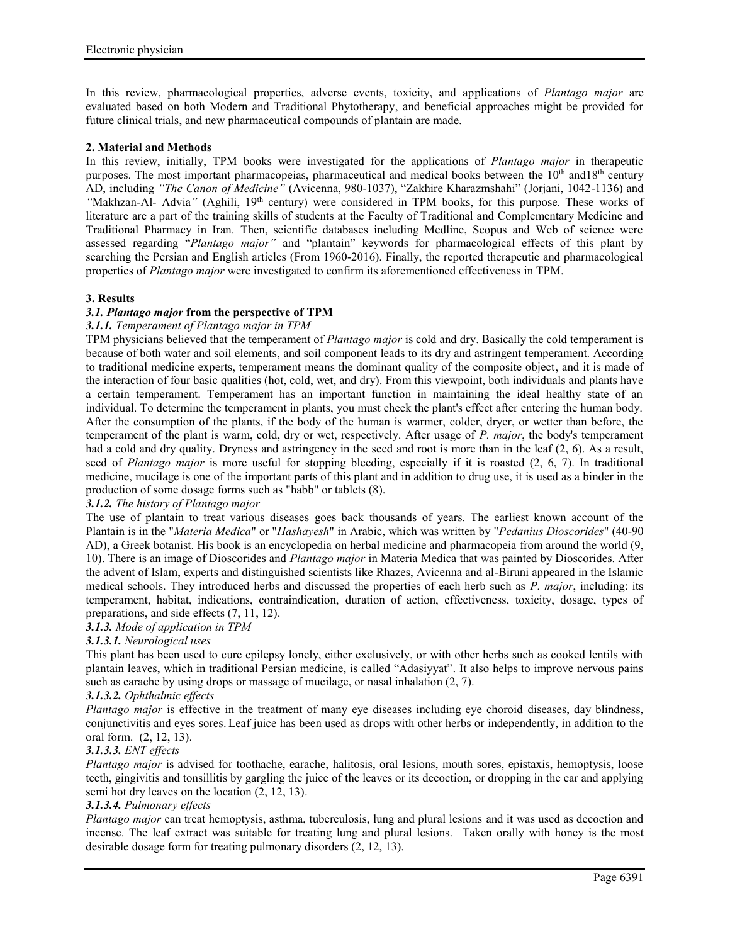In this review, pharmacological properties, adverse events, toxicity, and applications of *Plantago major* are evaluated based on both Modern and Traditional Phytotherapy, and beneficial approaches might be provided for future clinical trials, and new pharmaceutical compounds of plantain are made.

## **2. Material and Methods**

In this review, initially, TPM books were investigated for the applications of *Plantago major* in therapeutic purposes. The most important pharmacopeias, pharmaceutical and medical books between the  $10<sup>th</sup>$  and  $18<sup>th</sup>$  century AD, including *"The Canon of Medicine"* (Avicenna, 980-1037), "Zakhire Kharazmshahi" (Jorjani, 1042-1136) and "Makhzan-Al- Advia" (Aghili, 19<sup>th</sup> century) were considered in TPM books, for this purpose. These works of literature are a part of the training skills of students at the Faculty of Traditional and Complementary Medicine and Traditional Pharmacy in Iran. Then, scientific databases including Medline, Scopus and Web of science were assessed regarding "*Plantago major"* and "plantain" keywords for pharmacological effects of this plant by searching the Persian and English articles (From 1960-2016). Finally, the reported therapeutic and pharmacological properties of *Plantago major* were investigated to confirm its aforementioned effectiveness in TPM.

## **3. Results**

## *3.1. Plantago major* **from the perspective of TPM**

#### *3.1.1. Temperament of Plantago major in TPM*

TPM physicians believed that the temperament of *Plantago major* is cold and dry. Basically the cold temperament is because of both water and soil elements, and soil component leads to its dry and astringent temperament. According to traditional medicine experts, temperament means the dominant quality of the composite object, and it is made of the interaction of four basic qualities (hot, cold, wet, and dry). From this viewpoint, both individuals and plants have a certain temperament. Temperament has an important function in maintaining the ideal healthy state of an individual. To determine the temperament in plants, you must check the plant's effect after entering the human body. After the consumption of the plants, if the body of the human is warmer, colder, dryer, or wetter than before, the temperament of the plant is warm, cold, dry or wet, respectively. After usage of *P. major*, the body's temperament had a cold and dry quality. Dryness and astringency in the seed and root is more than in the leaf (2, 6). As a result, seed of *Plantago major* is more useful for stopping bleeding, especially if it is roasted (2, 6, 7). In traditional medicine, mucilage is one of the important parts of this plant and in addition to drug use, it is used as a binder in the production of some dosage forms such as "habb" or tablets (8).

## *3.1.2. The history of Plantago major*

The use of plantain to treat various diseases goes back thousands of years. The earliest known account of the Plantain is in the "*Materia Medica*" or "*Hashayesh*" in Arabic, which was written by "*Pedanius Dioscorides*" (40-90 AD), a Greek botanist. His book is an encyclopedia on herbal medicine and pharmacopeia from around the world (9, 10). There is an image of Dioscorides and *Plantago major* in Materia Medica that was painted by Dioscorides. After the advent of Islam, experts and distinguished scientists like Rhazes, Avicenna and al-Biruni appeared in the Islamic medical schools. They introduced herbs and discussed the properties of each herb such as *P. major*, including: its temperament, habitat, indications, contraindication, duration of action, effectiveness, toxicity, dosage, types of preparations, and side effects (7, 11, 12).

# *3.1.3. Mode of application in TPM*

## *3.1.3.1. Neurological uses*

This plant has been used to cure epilepsy lonely, either exclusively, or with other herbs such as cooked lentils with plantain leaves, which in traditional Persian medicine, is called "Adasiyyat". It also helps to improve nervous pains such as earache by using drops or massage of mucilage, or nasal inhalation  $(2, 7)$ .

## *3.1.3.2. Ophthalmic effects*

*Plantago major* is effective in the treatment of many eye diseases including eye choroid diseases, day blindness, conjunctivitis and eyes sores. Leaf juice has been used as drops with other herbs or independently, in addition to the oral form. (2, 12, 13).

## *3.1.3.3. ENT effects*

*Plantago major* is advised for toothache, earache, halitosis, oral lesions, mouth sores, epistaxis, hemoptysis, loose teeth, gingivitis and tonsillitis by gargling the juice of the leaves or its decoction, or dropping in the ear and applying semi hot dry leaves on the location (2, 12, 13).

## *3.1.3.4. Pulmonary effects*

*Plantago major* can treat hemoptysis, asthma, tuberculosis, lung and plural lesions and it was used as decoction and incense. The leaf extract was suitable for treating lung and plural lesions. Taken orally with honey is the most desirable dosage form for treating pulmonary disorders (2, 12, 13).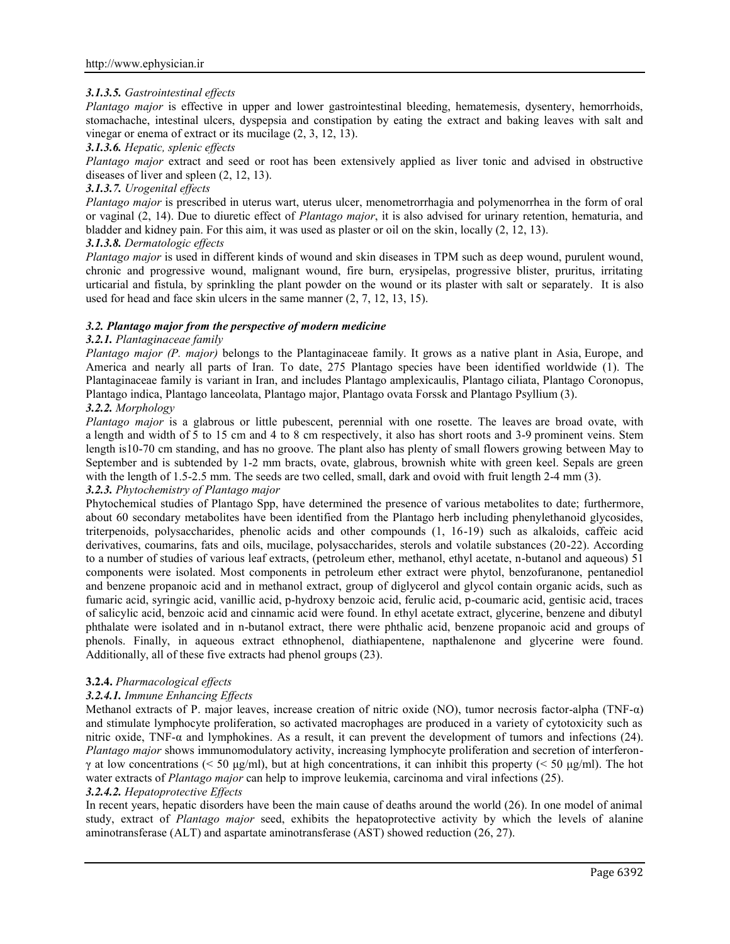# *3.1.3.5. Gastrointestinal effects*

*Plantago major* is effective in upper and lower gastrointestinal bleeding, hematemesis, dysentery, hemorrhoids, stomachache, intestinal ulcers, dyspepsia and constipation by eating the extract and baking leaves with salt and vinegar or enema of extract or its mucilage (2, 3, 12, 13).

## *3.1.3.6. Hepatic, splenic effects*

*Plantago major* extract and seed or root has been extensively applied as liver tonic and advised in obstructive diseases of liver and spleen (2, 12, 13).

## *3.1.3.7. Urogenital effects*

*Plantago major* is prescribed in uterus wart, uterus ulcer, menometrorrhagia and polymenorrhea in the form of oral or vaginal (2, 14). Due to diuretic effect of *Plantago major*, it is also advised for urinary retention, hematuria, and bladder and kidney pain. For this aim, it was used as plaster or oil on the skin, locally (2, 12, 13).

## *3.1.3.8. Dermatologic effects*

*Plantago major* is used in different kinds of wound and skin diseases in TPM such as deep wound, purulent wound, chronic and progressive wound, malignant wound, fire burn, erysipelas, progressive blister, pruritus, irritating urticarial and fistula, by sprinkling the plant powder on the wound or its plaster with salt or separately. It is also used for head and face skin ulcers in the same manner (2, 7, 12, 13, 15).

### *3.2. Plantago major from the perspective of modern medicine*

### *3.2.1. Plantaginaceae family*

*Plantago major (P. major)* belongs to the Plantaginaceae family. It grows as a native plant in Asia, Europe, and America and nearly all parts of Iran. To date, 275 Plantago species have been identified worldwide (1). The Plantaginaceae family is variant in Iran, and includes Plantago amplexicaulis, Plantago ciliata, Plantago Coronopus, Plantago indica, Plantago lanceolata, Plantago major, Plantago ovata Forssk and Plantago Psyllium (3).

# *3.2.2. Morphology*

*Plantago major* is a glabrous or little pubescent, perennial with one rosette. The leaves are broad ovate, with a length and width of 5 to 15 cm and 4 to 8 cm respectively, it also has short roots and 3-9 prominent veins. Stem length is10-70 cm standing, and has no groove. The plant also has plenty of small flowers growing between May to September and is subtended by 1-2 mm bracts, ovate, glabrous, brownish white with green keel. Sepals are green with the length of 1.5-2.5 mm. The seeds are two celled, small, dark and ovoid with fruit length 2-4 mm (3).

# *3.2.3. Phytochemistry of Plantago major*

Phytochemical studies of Plantago Spp, have determined the presence of various metabolites to date; furthermore, about 60 secondary metabolites have been identified from the Plantago herb including phenylethanoid glycosides, triterpenoids, polysaccharides, phenolic acids and other compounds (1, 16-19) such as alkaloids, caffeic acid derivatives, coumarins, fats and oils, mucilage, polysaccharides, sterols and volatile substances (20-22). According to a number of studies of various leaf extracts, (petroleum ether, methanol, ethyl acetate, n-butanol and aqueous) 51 components were isolated. Most components in petroleum ether extract were phytol, benzofuranone, pentanediol and benzene propanoic acid and in methanol extract, group of diglycerol and glycol contain organic acids, such as fumaric acid, syringic acid, vanillic acid, p-hydroxy benzoic acid, ferulic acid, p-coumaric acid, gentisic acid, traces of salicylic acid, benzoic acid and cinnamic acid were found. In ethyl acetate extract, glycerine, benzene and dibutyl phthalate were isolated and in n-butanol extract, there were phthalic acid, benzene propanoic acid and groups of phenols. Finally, in aqueous extract ethnophenol, diathiapentene, napthalenone and glycerine were found. Additionally, all of these five extracts had phenol groups (23).

# **3.2.4.** *Pharmacological effects*

## *3.2.4.1. Immune Enhancing Effects*

Methanol extracts of P. major leaves, increase creation of nitric oxide (NO), tumor necrosis factor-alpha (TNF-α) and stimulate lymphocyte proliferation, so activated macrophages are produced in a variety of cytotoxicity such as nitric oxide, TNF-α and lymphokines. As a result, it can prevent the development of tumors and infections (24). *Plantago major* shows immunomodulatory activity, increasing lymphocyte proliferation and secretion of interferon γ at low concentrations (< 50 μg/ml), but at high concentrations, it can inhibit this property (< 50 μg/ml). The hot water extracts of *Plantago major* can help to improve leukemia, carcinoma and viral infections (25).

## *3.2.4.2. Hepatoprotective Effects*

In recent years, hepatic disorders have been the main cause of deaths around the world (26). In one model of animal study, extract of *Plantago major* seed, exhibits the hepatoprotective activity by which the levels of alanine aminotransferase (ALT) and aspartate aminotransferase (AST) showed reduction (26, 27).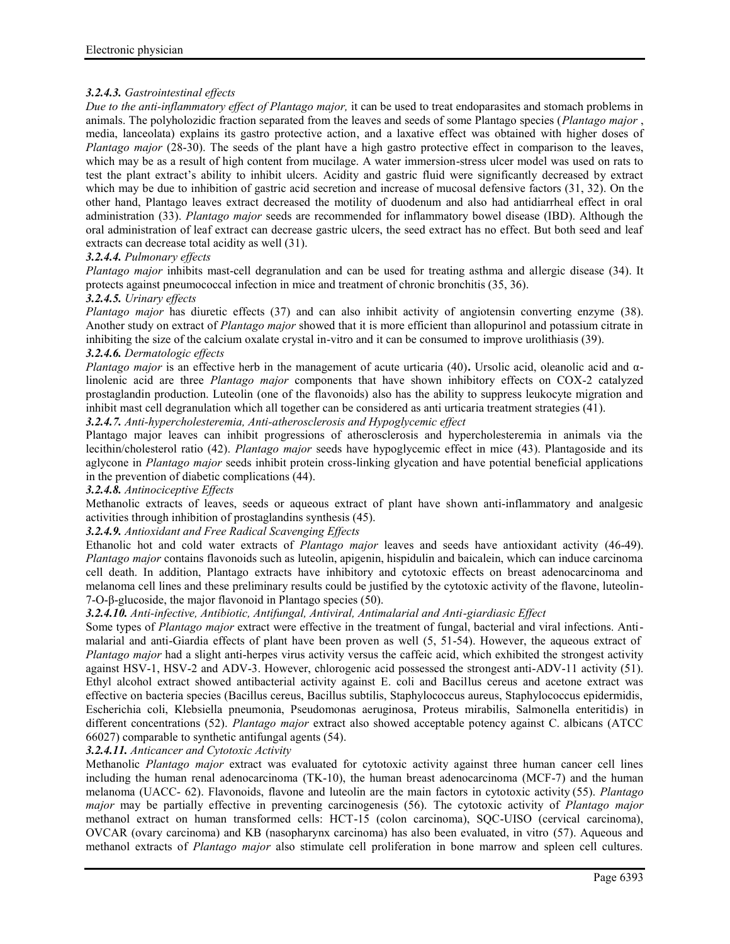# *3.2.4.3. Gastrointestinal effects*

*Due to the anti-inflammatory effect of Plantago major,* it can be used to treat endoparasites and stomach problems in animals. The polyholozidic fraction separated from the leaves and seeds of some Plantago species (*Plantago major* , media, lanceolata) explains its gastro protective action, and a laxative effect was obtained with higher doses of *Plantago major* (28-30). The seeds of the plant have a high gastro protective effect in comparison to the leaves, which may be as a result of high content from mucilage. A water immersion-stress ulcer model was used on rats to test the plant extract's ability to inhibit ulcers. Acidity and gastric fluid were significantly decreased by extract which may be due to inhibition of gastric acid secretion and increase of mucosal defensive factors (31, 32). On the other hand, Plantago leaves extract decreased the motility of duodenum and also had antidiarrheal effect in oral administration (33). *Plantago major* seeds are recommended for inflammatory bowel disease (IBD). Although the oral administration of leaf extract can decrease gastric ulcers, the seed extract has no effect. But both seed and leaf extracts can decrease total acidity as well (31).

### *3.2.4.4. Pulmonary effects*

*Plantago major* inhibits mast-cell degranulation and can be used for treating asthma and allergic disease (34). It protects against pneumococcal infection in mice and treatment of chronic bronchitis (35, 36).

### *3.2.4.5. Urinary effects*

*Plantago major* has diuretic effects (37) and can also inhibit activity of angiotensin converting enzyme (38). Another study on extract of *Plantago major* showed that it is more efficient than allopurinol and potassium citrate in inhibiting the size of the calcium oxalate crystal in-vitro and it can be consumed to improve urolithiasis (39). *3.2.4.6. Dermatologic effects*

## *Plantago major* is an effective herb in the management of acute urticaria (40)**.** Ursolic acid, oleanolic acid and αlinolenic acid are three *Plantago major* components that have shown inhibitory effects on COX-2 catalyzed prostaglandin production. Luteolin (one of the flavonoids) also has the ability to suppress leukocyte migration and inhibit mast cell degranulation which all together can be considered as anti urticaria treatment strategies (41).

*3.2.4.7. Anti-hypercholesteremia, Anti-atherosclerosis and Hypoglycemic effect*

Plantago major leaves can inhibit progressions of atherosclerosis and hypercholesteremia in animals via the lecithin/cholesterol ratio (42). *Plantago major* seeds have hypoglycemic effect in mice (43). Plantagoside and its aglycone in *Plantago major* seeds inhibit protein cross-linking glycation and have potential beneficial applications in the prevention of diabetic complications (44).

## *3.2.4.8. Antinociceptive Effects*

Methanolic extracts of leaves, seeds or aqueous extract of plant have shown anti-inflammatory and analgesic activities through inhibition of prostaglandins synthesis (45).

# *3.2.4.9. Antioxidant and Free Radical Scavenging Effects*

Ethanolic hot and cold water extracts of *Plantago major* leaves and seeds have antioxidant activity (46-49). *Plantago major* contains flavonoids such as luteolin, apigenin, hispidulin and baicalein, which can induce carcinoma cell death. In addition, Plantago extracts have inhibitory and cytotoxic effects on breast adenocarcinoma and melanoma cell lines and these preliminary results could be justified by the cytotoxic activity of the flavone, luteolin- 7-O-β-glucoside, the major flavonoid in Plantago species (50).

## *3.2.4.10. Anti-infective, Antibiotic, Antifungal, Antiviral, Antimalarial and Anti-giardiasic Effect*

Some types of *Plantago major* extract were effective in the treatment of fungal, bacterial and viral infections. Anti malarial and anti-Giardia effects of plant have been proven as well (5, 51-54). However, the aqueous extract of *Plantago major* had a slight anti-herpes virus activity versus the caffeic acid, which exhibited the strongest activity against HSV-1, HSV-2 and ADV-3. However, chlorogenic acid possessed the strongest anti-ADV-11 activity (51). Ethyl alcohol extract showed antibacterial activity against E. coli and Bacillus cereus and acetone extract was effective on bacteria species (Bacillus cereus, Bacillus subtilis, Staphylococcus aureus, Staphylococcus epidermidis, Escherichia coli, Klebsiella pneumonia, Pseudomonas aeruginosa, Proteus mirabilis, Salmonella enteritidis) in different concentrations (52). *Plantago major* extract also showed acceptable potency against C. albicans (ATCC 66027) comparable to synthetic antifungal agents (54).

## *3.2.4.11. Anticancer and Cytotoxic Activity*

Methanolic *Plantago major* extract was evaluated for cytotoxic activity against three human cancer cell lines including the human renal adenocarcinoma (TK-10), the human breast adenocarcinoma (MCF-7) and the human melanoma (UACC- 62). Flavonoids, flavone and luteolin are the main factors in cytotoxic activity (55). *Plantago major* may be partially effective in preventing carcinogenesis (56). The cytotoxic activity of *Plantago major* methanol extract on human transformed cells: HCT-15 (colon carcinoma), SQC-UISO (cervical carcinoma), OVCAR (ovary carcinoma) and KB (nasopharynx carcinoma) has also been evaluated, in vitro (57). Aqueous and methanol extracts of *Plantago major* also stimulate cell proliferation in bone marrow and spleen cell cultures.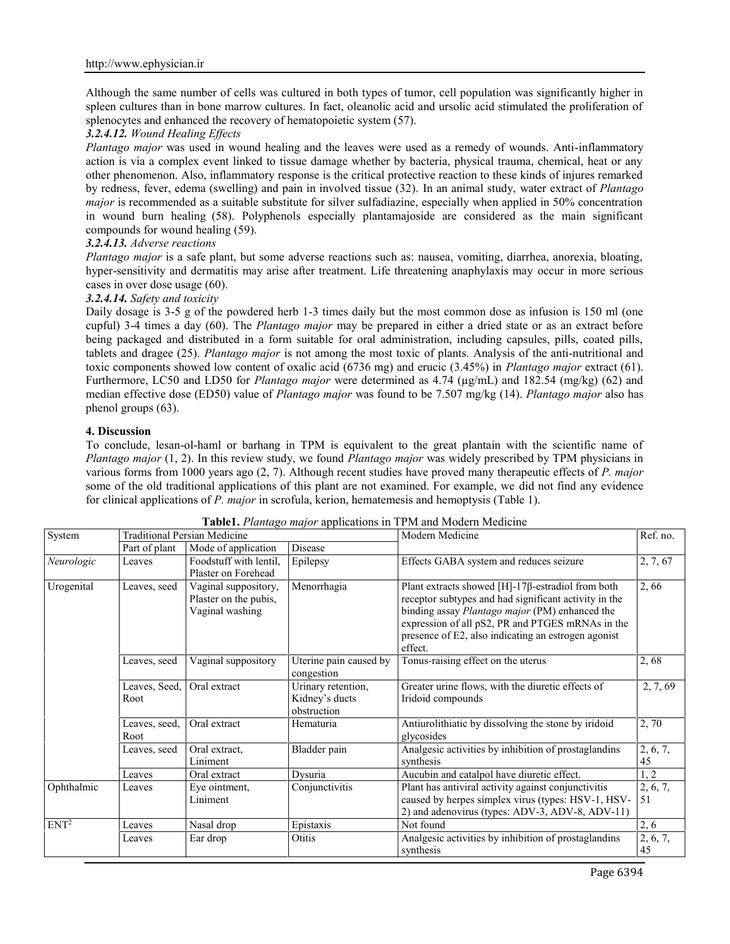Although the same number of cells was cultured in both types of tumor, cell population was significantly higher in spleen cultures than in bone marrow cultures. In fact, oleanolic acid and ursolic acid stimulated the proliferation of splenocytes and enhanced the recovery of hematopoietic system (57).

# *3.2.4.12. Wound Healing Effects*

*Plantago major* was used in wound healing and the leaves were used as a remedy of wounds. Anti-inflammatory action is via a complex event linked to tissue damage whether by bacteria, physical trauma, chemical, heat or any other phenomenon. Also, inflammatory response is the critical protective reaction to these kinds of injures remarked by redness, fever, edema (swelling) and pain in involved tissue (32). In an animal study, water extract of *Plantago major* is recommended as a suitable substitute for silver sulfadiazine, especially when applied in 50% concentration in wound burn healing (58). Polyphenols especially plantamajoside are considered as the main significant compounds for wound healing (59).

## *3.2.4.13. Adverse reactions*

*Plantago major* is a safe plant, but some adverse reactions such as: nausea, vomiting, diarrhea, anorexia, bloating, hyper-sensitivity and dermatitis may arise after treatment. Life threatening anaphylaxis may occur in more serious cases in over dose usage (60).

## *3.2.4.14. Safety and toxicity*

Daily dosage is 3-5 g of the powdered herb 1-3 times daily but the most common dose as infusion is 150 ml (one cupful) 3-4 times a day (60). The *Plantago major* may be prepared in either a dried state or as an extract before being packaged and distributed in a form suitable for oral administration, including capsules, pills, coated pills, tablets and dragee (25). *Plantago major* is not among the most toxic of plants. Analysis of the anti-nutritional and toxic components showed low content of oxalic acid (6736 mg) and erucic (3.45%) in *Plantago major* extract (61). Furthermore, LC50 and LD50 for *Plantago major* were determined as 4.74 (µg/mL) and 182.54 (mg/kg) (62) and median effective dose (ED50) value of *Plantago major* was found to be 7.507 mg/kg (14). *Plantago major* also has phenol groups (63).

### **4. Discussion**

To conclude, lesan-ol-haml or barhang in TPM is equivalent to the great plantain with the scientific name of *Plantago major* (1, 2). In this review study, we found *Plantago major* was widely prescribed by TPM physicians in various forms from 1000 years ago (2, 7). Although recent studies have proved many therapeutic effects of *P. major* some of the old traditional applications of this plant are not examined. For example, we did not find any evidence for clinical applications of *P. major* in scrofula, kerion, hematemesis and hemoptysis (Table 1).

| System           | <b>Traditional Persian Medicine</b> |                                                                  |                                                     | Modern Medicine                                                                                                                                                                                                                                                                           | Ref. no.       |
|------------------|-------------------------------------|------------------------------------------------------------------|-----------------------------------------------------|-------------------------------------------------------------------------------------------------------------------------------------------------------------------------------------------------------------------------------------------------------------------------------------------|----------------|
|                  | Part of plant                       | Mode of application                                              | Disease                                             |                                                                                                                                                                                                                                                                                           |                |
| Neurologic       | Leaves                              | Foodstuff with lentil.<br>Plaster on Forehead                    | Epilepsy                                            | Effects GABA system and reduces seizure                                                                                                                                                                                                                                                   | 2, 7, 67       |
| Urogenital       | Leaves, seed                        | Vaginal suppository,<br>Plaster on the pubis,<br>Vaginal washing | Menorrhagia                                         | Plant extracts showed $[H]-17\beta$ -estradiol from both<br>receptor subtypes and had significant activity in the<br>binding assay Plantago major (PM) enhanced the<br>expression of all pS2, PR and PTGES mRNAs in the<br>presence of E2, also indicating an estrogen agonist<br>effect. | 2,66           |
|                  | Leaves, seed                        | Vaginal suppository                                              | Uterine pain caused by<br>congestion                | Tonus-raising effect on the uterus                                                                                                                                                                                                                                                        | 2,68           |
|                  | Leaves, Seed,<br>Root               | Oral extract                                                     | Urinary retention,<br>Kidney's ducts<br>obstruction | Greater urine flows, with the diuretic effects of<br>Iridoid compounds                                                                                                                                                                                                                    | 2, 7, 69       |
|                  | Leaves, seed,<br>Root               | Oral extract                                                     | Hematuria                                           | Antiurolithiatic by dissolving the stone by iridoid<br>glycosides                                                                                                                                                                                                                         | 2,70           |
|                  | Leaves, seed                        | Oral extract,<br>Liniment                                        | Bladder pain                                        | Analgesic activities by inhibition of prostaglandins<br>synthesis                                                                                                                                                                                                                         | 2, 6, 7,<br>45 |
|                  | Leaves                              | Oral extract                                                     | Dysuria                                             | Aucubin and catalpol have diuretic effect.                                                                                                                                                                                                                                                | 1, 2           |
| Ophthalmic       | Leaves                              | Eye ointment,<br>Liniment                                        | Conjunctivitis                                      | Plant has antiviral activity against conjunctivitis<br>caused by herpes simplex virus (types: HSV-1, HSV-<br>2) and adenovirus (types: ADV-3, ADV-8, ADV-11)                                                                                                                              | 2, 6, 7,<br>51 |
| ENT <sup>2</sup> | Leaves                              | Nasal drop                                                       | Epistaxis                                           | Not found                                                                                                                                                                                                                                                                                 | 2, 6           |
|                  | Leaves                              | Ear drop                                                         | Otitis                                              | Analgesic activities by inhibition of prostaglandins<br>synthesis                                                                                                                                                                                                                         | 2, 6, 7,<br>45 |

**Table1.** *Plantago major* applications in TPM and Modern Medicine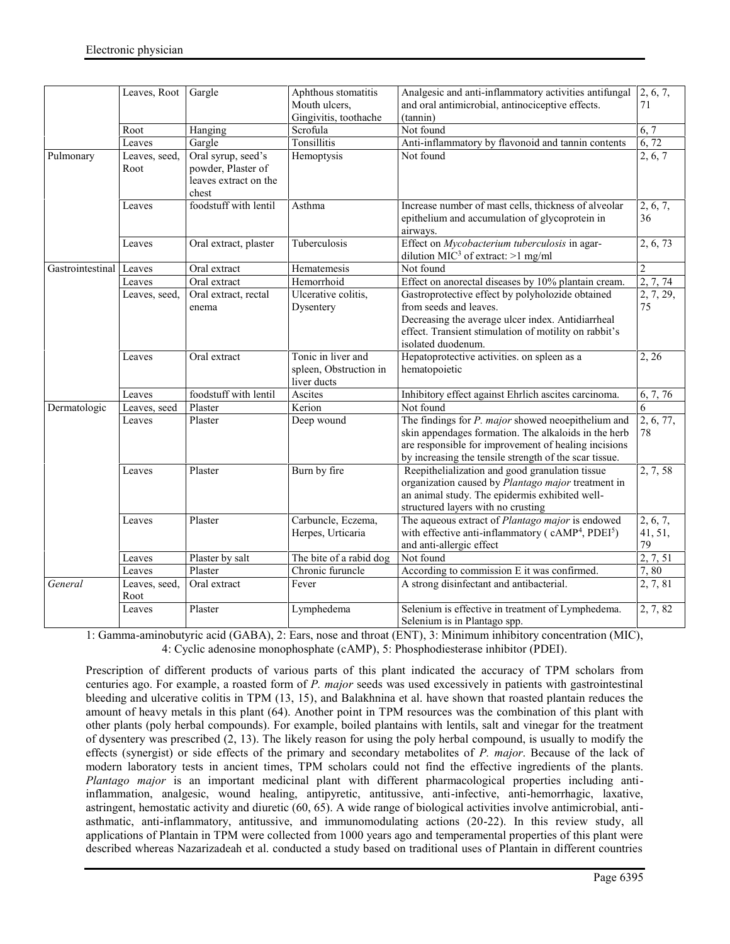|                  | Leaves, Root          | Gargle                                                                     | Aphthous stomatitis<br>Mouth ulcers,                        | Analgesic and anti-inflammatory activities antifungal<br>and oral antimicrobial, antinociceptive effects.                                                                                                                           | 2, 6, 7,<br>71            |
|------------------|-----------------------|----------------------------------------------------------------------------|-------------------------------------------------------------|-------------------------------------------------------------------------------------------------------------------------------------------------------------------------------------------------------------------------------------|---------------------------|
|                  |                       |                                                                            | Gingivitis, toothache                                       | (tannin)                                                                                                                                                                                                                            |                           |
|                  | Root                  | Hanging                                                                    | Scrofula                                                    | Not found                                                                                                                                                                                                                           | 6, 7                      |
|                  | Leaves                | Gargle                                                                     | Tonsillitis                                                 | Anti-inflammatory by flavonoid and tannin contents                                                                                                                                                                                  | 6,72                      |
| Pulmonary        | Leaves, seed,<br>Root | Oral syrup, seed's<br>powder, Plaster of<br>leaves extract on the<br>chest | Hemoptysis                                                  | Not found                                                                                                                                                                                                                           | 2, 6, 7                   |
|                  | Leaves                | foodstuff with lentil                                                      | Asthma                                                      | Increase number of mast cells, thickness of alveolar<br>epithelium and accumulation of glycoprotein in<br>airways.                                                                                                                  | 2, 6, 7,<br>36            |
|                  | Leaves                | Oral extract, plaster                                                      | Tuberculosis                                                | Effect on Mycobacterium tuberculosis in agar-<br>dilution MIC <sup>3</sup> of extract: $>1$ mg/ml                                                                                                                                   | 2, 6, 73                  |
| Gastrointestinal | Leaves                | Oral extract                                                               | Hematemesis                                                 | Not found                                                                                                                                                                                                                           | $\overline{c}$            |
|                  | Leaves                | Oral extract                                                               | Hemorrhoid                                                  | Effect on anorectal diseases by 10% plantain cream.                                                                                                                                                                                 | 2, 7, 74                  |
|                  | Leaves, seed,         | Oral extract, rectal<br>enema                                              | Ulcerative colitis,<br>Dysentery                            | Gastroprotective effect by polyholozide obtained<br>from seeds and leaves.<br>Decreasing the average ulcer index. Antidiarrheal<br>effect. Transient stimulation of motility on rabbit's<br>isolated duodenum.                      | 2, 7, 29,<br>75           |
|                  | Leaves                | Oral extract                                                               | Tonic in liver and<br>spleen, Obstruction in<br>liver ducts | Hepatoprotective activities. on spleen as a<br>hematopoietic                                                                                                                                                                        | 2, 26                     |
|                  | Leaves                | foodstuff with lentil                                                      | Ascites                                                     | Inhibitory effect against Ehrlich ascites carcinoma.                                                                                                                                                                                | 6, 7, 76                  |
| Dermatologic     | Leaves, seed          | Plaster                                                                    | Kerion                                                      | Not found                                                                                                                                                                                                                           | 6                         |
|                  | Leaves                | Plaster                                                                    | Deep wound                                                  | The findings for <i>P. major</i> showed neoepithelium and<br>skin appendages formation. The alkaloids in the herb<br>are responsible for improvement of healing incisions<br>by increasing the tensile strength of the scar tissue. | 2, 6, 77,<br>78           |
|                  | Leaves                | Plaster                                                                    | Burn by fire                                                | Reepithelialization and good granulation tissue<br>organization caused by Plantago major treatment in<br>an animal study. The epidermis exhibited well-<br>structured layers with no crusting                                       | 2, 7, 58                  |
|                  | Leaves                | Plaster                                                                    | Carbuncle, Eczema,<br>Herpes, Urticaria                     | The aqueous extract of <i>Plantago major</i> is endowed<br>with effective anti-inflammatory (cAMP <sup>4</sup> , PDEI <sup>5</sup> )<br>and anti-allergic effect                                                                    | 2, 6, 7,<br>41, 51,<br>79 |
|                  | Leaves                | Plaster by salt                                                            | The bite of a rabid dog                                     | Not found                                                                                                                                                                                                                           | 2, 7, 51                  |
|                  | Leaves                | Plaster                                                                    | Chronic furuncle                                            | According to commission E it was confirmed.                                                                                                                                                                                         | 7,80                      |
| General          | Leaves, seed,<br>Root | Oral extract                                                               | Fever                                                       | A strong disinfectant and antibacterial.                                                                                                                                                                                            | 2, 7, 81                  |
|                  | Leaves                | Plaster                                                                    | Lymphedema                                                  | Selenium is effective in treatment of Lymphedema.<br>Selenium is in Plantago spp.                                                                                                                                                   | 2, 7, 82                  |

1: Gamma-aminobutyric acid (GABA), 2: Ears, nose and throat (ENT), 3: Minimum inhibitory concentration (MIC), 4: Cyclic adenosine monophosphate (cAMP), 5: Phosphodiesterase inhibitor (PDEI).

Prescription of different products of various parts of this plant indicated the accuracy of TPM scholars from centuries ago. For example, a roasted form of *P. major* seeds was used excessively in patients with gastrointestinal bleeding and ulcerative colitis in TPM (13, 15), and Balakhnina et al. have shown that roasted plantain reduces the amount of heavy metals in this plant (64). Another point in TPM resources was the combination of this plant with other plants (poly herbal compounds). For example, boiled plantains with lentils, salt and vinegar for the treatment of dysentery was prescribed (2, 13). The likely reason for using the poly herbal compound, is usually to modify the effects (synergist) or side effects of the primary and secondary metabolites of *P. major*. Because of the lack of modern laboratory tests in ancient times, TPM scholars could not find the effective ingredients of the plants. *Plantago major* is an important medicinal plant with different pharmacological properties including antiinflammation, analgesic, wound healing, antipyretic, antitussive, anti-infective, anti-hemorrhagic, laxative, astringent, hemostatic activity and diuretic (60, 65). A wide range of biological activities involve antimicrobial, anti asthmatic, anti-inflammatory, antitussive, and immunomodulating actions (20-22). In this review study, all applications of Plantain in TPM were collected from 1000 years ago and temperamental properties of this plant were described whereas Nazarizadeah et al. conducted a study based on traditional uses of Plantain in different countries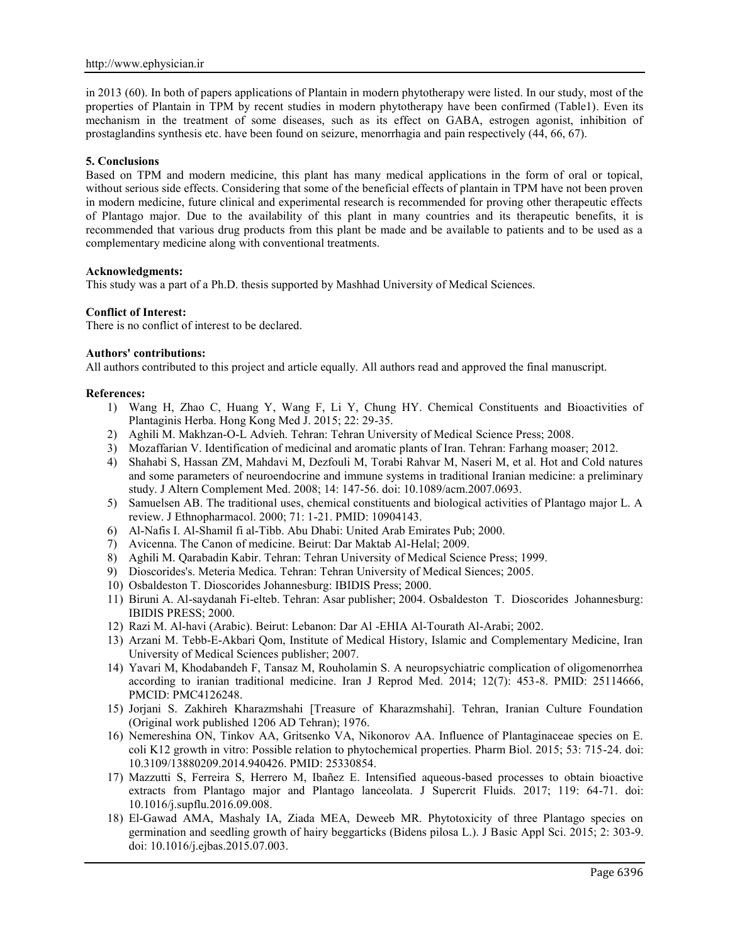in 2013 (60). In both of papers applications of Plantain in modern phytotherapy were listed. In our study, most of the properties of Plantain in TPM by recent studies in modern phytotherapy have been confirmed (Table1). Even its mechanism in the treatment of some diseases, such as its effect on GABA, estrogen agonist, inhibition of prostaglandins synthesis etc. have been found on seizure, menorrhagia and pain respectively (44, 66, 67).

### **5. Conclusions**

Based on TPM and modern medicine, this plant has many medical applications in the form of oral or topical, without serious side effects. Considering that some of the beneficial effects of plantain in TPM have not been proven in modern medicine, future clinical and experimental research is recommended for proving other therapeutic effects of Plantago major. Due to the availability of this plant in many countries and its therapeutic benefits, it is recommended that various drug products from this plant be made and be available to patients and to be used as a complementary medicine along with conventional treatments.

#### **Acknowledgments:**

This study was a part of a Ph.D. thesis supported by Mashhad University of Medical Sciences.

### **Conflict of Interest:**

There is no conflict of interest to be declared.

## **Authors' contributions:**

All authors contributed to this project and article equally. All authors read and approved the final manuscript.

### **References:**

- 1) Wang H, Zhao C, Huang Y, Wang F, Li Y, Chung HY. Chemical Constituents and Bioactivities of Plantaginis Herba. Hong Kong Med J. 2015; 22: 29-35.
- 2) Aghili M. Makhzan-O-L Advieh. Tehran: Tehran University of Medical Science Press; 2008.
- 3) Mozaffarian V. Identification of medicinal and aromatic plants of Iran. Tehran: Farhang moaser; 2012.
- 4) Shahabi S, Hassan ZM, Mahdavi M, Dezfouli M, Torabi Rahvar M, Naseri M, et al. Hot and Cold natures and some parameters of neuroendocrine and immune systems in traditional Iranian medicine: a preliminary study. J Altern Complement Med. 2008; 14: 147-56. doi: 10.1089/acm.2007.0693.
- 5) Samuelsen AB. The traditional uses, chemical constituents and biological activities of Plantago major L. A review. J Ethnopharmacol. 2000; 71: 1-21. PMID: 10904143.
- 6) Al-Nafis I. Al-Shamil fi al-Tibb. Abu Dhabi: United Arab Emirates Pub; 2000.
- 7) Avicenna. The Canon of medicine. Beirut: Dar Maktab Al-Helal; 2009.
- 8) Aghili M. Qarabadin Kabir. Tehran: Tehran University of Medical Science Press; 1999.
- 9) Dioscorides's. Meteria Medica. Tehran: Tehran University of Medical Siences; 2005.
- 10) Osbaldeston T. Dioscorides Johannesburg: IBIDIS Press; 2000.
- 11) Biruni A. Al-saydanah Fi-elteb. Tehran: Asar publisher; 2004. Osbaldeston T. Dioscorides Johannesburg: IBIDIS PRESS; 2000.
- 12) Razi M. Al-havi (Arabic). Beirut: Lebanon: Dar Al -EHIA Al-Tourath Al-Arabi; 2002.
- 13) Arzani M. Tebb-E-Akbari Qom, Institute of Medical History, Islamic and Complementary Medicine, Iran University of Medical Sciences publisher; 2007.
- 14) Yavari M, Khodabandeh F, Tansaz M, Rouholamin S. A neuropsychiatric complication of oligomenorrhea according to iranian traditional medicine. Iran J Reprod Med. 2014; 12(7): 453-8. PMID: 25114666, PMCID: PMC4126248.
- 15) Jorjani S. Zakhireh Kharazmshahi [Treasure of Kharazmshahi]. Tehran, Iranian Culture Foundation (Original work published 1206 AD Tehran); 1976.
- 16) Nemereshina ON, Tinkov AA, Gritsenko VA, Nikonorov AA. Influence of Plantaginaceae species on E. coli K12 growth in vitro: Possible relation to phytochemical properties. Pharm Biol. 2015; 53: 715-24. doi: 10.3109/13880209.2014.940426. PMID: 25330854.
- 17) Mazzutti S, Ferreira S, Herrero M, Ibañez E. Intensified aqueous-based processes to obtain bioactive extracts from Plantago major and Plantago lanceolata. J Supercrit Fluids. 2017; 119: 64-71. doi: 10.1016/j.supflu.2016.09.008.
- 18) El-Gawad AMA, Mashaly IA, Ziada MEA, Deweeb MR. Phytotoxicity of three Plantago species on germination and seedling growth of hairy beggarticks (Bidens pilosa L.). J Basic Appl Sci. 2015; 2: 303-9. doi: 10.1016/j.ejbas.2015.07.003.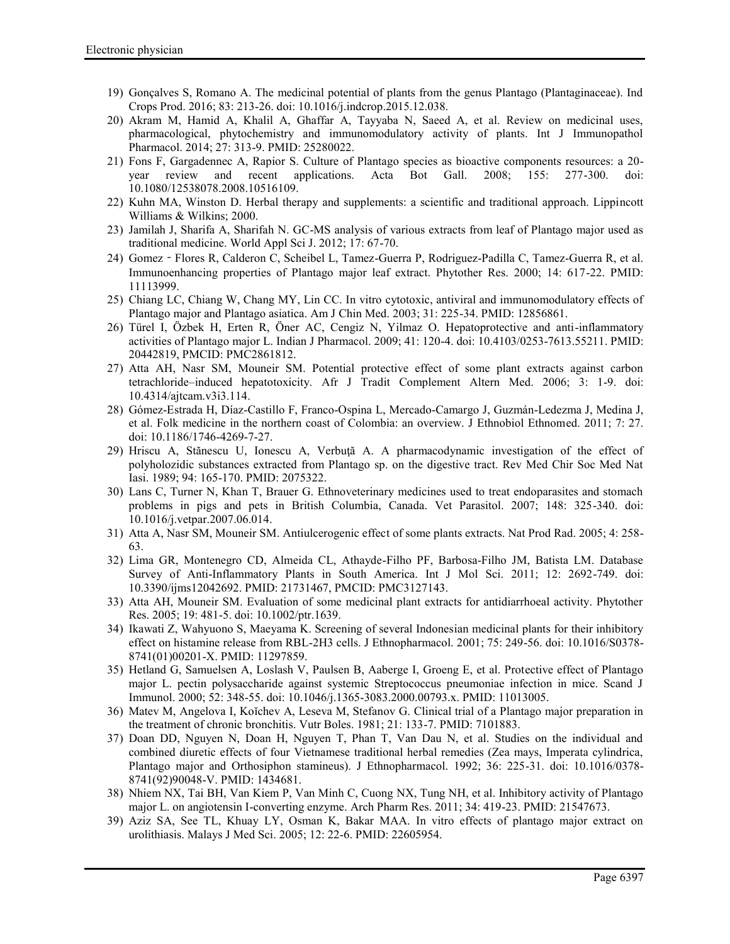- 19) Gonçalves S, Romano A. The medicinal potential of plants from the genus Plantago (Plantaginaceae). Ind Crops Prod. 2016; 83: 213-26. doi: 10.1016/j.indcrop.2015.12.038.
- 20) Akram M, Hamid A, Khalil A, Ghaffar A, Tayyaba N, Saeed A, et al. Review on medicinal uses, pharmacological, phytochemistry and immunomodulatory activity of plants. Int J Immunopathol Pharmacol. 2014; 27: 313-9. PMID: 25280022.
- 21) Fons F, Gargadennec A, Rapior S. Culture of Plantago species as bioactive components resources: a 20 year review and recent applications. Acta Bot Gall. 2008; 155: 277-300. doi: 10.1080/12538078.2008.10516109.
- 22) Kuhn MA, Winston D. Herbal therapy and supplements: a scientific and traditional approach. Lippincott Williams & Wilkins; 2000.
- 23) Jamilah J, Sharifa A, Sharifah N. GC-MS analysis of various extracts from leaf of Plantago major used as traditional medicine. World Appl Sci J. 2012; 17: 67-70.
- 24) Gomez‐Flores R, Calderon C, Scheibel L, Tamez-Guerra P, Rodriguez-Padilla C, Tamez-Guerra R, et al. Immunoenhancing properties of Plantago major leaf extract. Phytother Res. 2000; 14: 617-22. PMID: 11113999.
- 25) Chiang LC, Chiang W, Chang MY, Lin CC. In vitro cytotoxic, antiviral and immunomodulatory effects of Plantago major and Plantago asiatica. Am J Chin Med. 2003; 31: 225-34. PMID: 12856861.
- 26) Türel I, Özbek H, Erten R, Öner AC, Cengiz N, Yilmaz O. Hepatoprotective and anti-inflammatory activities of Plantago major L. Indian J Pharmacol. 2009; 41: 120-4. doi: 10.4103/0253-7613.55211. PMID: 20442819, PMCID: PMC2861812.
- 27) Atta AH, Nasr SM, Mouneir SM. Potential protective effect of some plant extracts against carbon tetrachloride–induced hepatotoxicity. Afr J Tradit Complement Altern Med. 2006; 3: 1-9. doi: 10.4314/ajtcam.v3i3.114.
- 28) Gómez-Estrada H, Díaz-Castillo F, Franco-Ospina L, Mercado-Camargo J, Guzmán-Ledezma J, Medina J, et al. Folk medicine in the northern coast of Colombia: an overview. J Ethnobiol Ethnomed. 2011; 7: 27. doi: 10.1186/1746-4269-7-27.
- 29) Hriscu A, Stănescu U, Ionescu A, Verbuţă A. A pharmacodynamic investigation of the effect of polyholozidic substances extracted from Plantago sp. on the digestive tract. Rev Med Chir Soc Med Nat Iasi. 1989; 94: 165-170. PMID: 2075322.
- 30) Lans C, Turner N, Khan T, Brauer G. Ethnoveterinary medicines used to treat endoparasites and stomach problems in pigs and pets in British Columbia, Canada. Vet Parasitol. 2007; 148: 325-340. doi: 10.1016/j.vetpar.2007.06.014.
- 31) Atta A, Nasr SM, Mouneir SM. Antiulcerogenic effect of some plants extracts. Nat Prod Rad. 2005; 4: 258- 63.
- 32) Lima GR, Montenegro CD, Almeida CL, Athayde-Filho PF, Barbosa-Filho JM, Batista LM. Database Survey of Anti-Inflammatory Plants in South America. Int J Mol Sci. 2011; 12: 2692-749. doi: 10.3390/ijms12042692. PMID: 21731467, PMCID: PMC3127143.
- 33) Atta AH, Mouneir SM. Evaluation of some medicinal plant extracts for antidiarrhoeal activity. Phytother Res. 2005; 19: 481-5. doi: 10.1002/ptr.1639.
- 34) Ikawati Z, Wahyuono S, Maeyama K. Screening of several Indonesian medicinal plants for their inhibitory effect on histamine release from RBL-2H3 cells. J Ethnopharmacol. 2001; 75: 249-56. doi: 10.1016/S0378- 8741(01)00201-X. PMID: 11297859.
- 35) Hetland G, Samuelsen A, Loslash V, Paulsen B, Aaberge I, Groeng E, et al. Protective effect of Plantago major L. pectin polysaccharide against systemic Streptococcus pneumoniae infection in mice. Scand J Immunol. 2000; 52: 348-55. doi: 10.1046/j.1365-3083.2000.00793.x. PMID: 11013005.
- 36) Matev M, Angelova I, Koĭchev A, Leseva M, Stefanov G. Clinical trial of a Plantago major preparation in the treatment of chronic bronchitis. Vutr Boles. 1981; 21: 133-7. PMID: 7101883.
- 37) Doan DD, Nguyen N, Doan H, Nguyen T, Phan T, Van Dau N, et al. Studies on the individual and combined diuretic effects of four Vietnamese traditional herbal remedies (Zea mays, Imperata cylindrica, Plantago major and Orthosiphon stamineus). J Ethnopharmacol. 1992; 36: 225-31. doi: 10.1016/0378- 8741(92)90048-V. PMID: 1434681.
- 38) Nhiem NX, Tai BH, Van Kiem P, Van Minh C, Cuong NX, Tung NH, et al. Inhibitory activity of Plantago major L. on angiotensin I-converting enzyme. Arch Pharm Res. 2011; 34: 419-23. PMID: 21547673.
- 39) Aziz SA, See TL, Khuay LY, Osman K, Bakar MAA. In vitro effects of plantago major extract on urolithiasis. Malays J Med Sci. 2005; 12: 22-6. PMID: 22605954.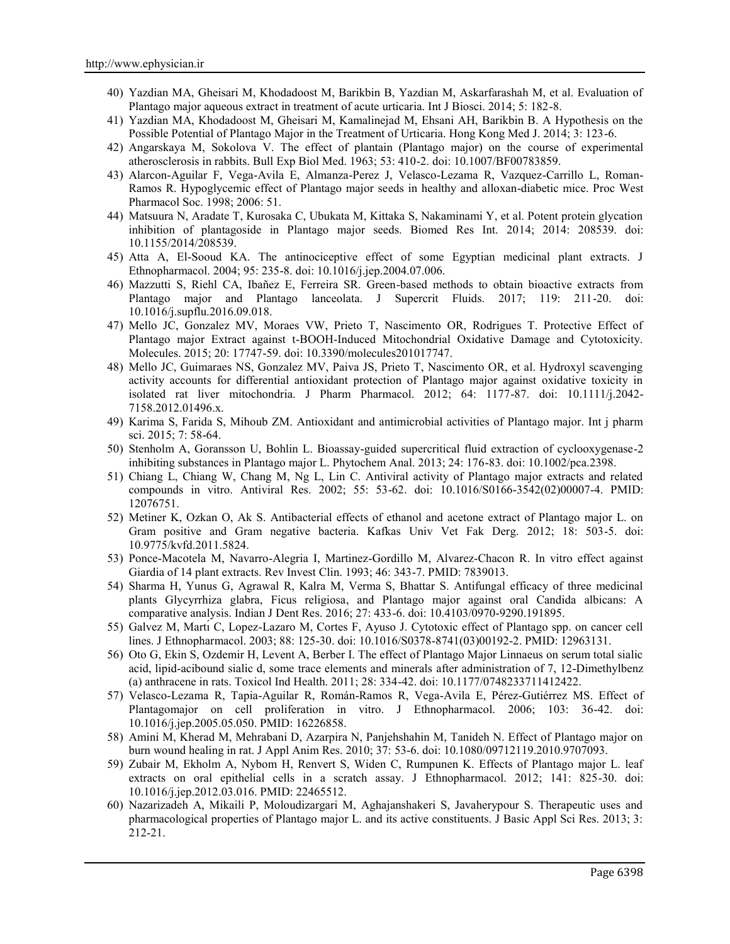- 40) Yazdian MA, Gheisari M, Khodadoost M, Barikbin B, Yazdian M, Askarfarashah M, et al. Evaluation of Plantago major aqueous extract in treatment of acute urticaria. Int J Biosci. 2014; 5: 182-8.
- 41) Yazdian MA, Khodadoost M, Gheisari M, Kamalinejad M, Ehsani AH, Barikbin B. A Hypothesis on the Possible Potential of Plantago Major in the Treatment of Urticaria. Hong Kong Med J. 2014; 3: 123-6.
- 42) Angarskaya M, Sokolova V. The effect of plantain (Plantago major) on the course of experimental atherosclerosis in rabbits. Bull Exp Biol Med. 1963; 53: 410-2. doi: 10.1007/BF00783859.
- 43) Alarcon-Aguilar F, Vega-Avila E, Almanza-Perez J, Velasco-Lezama R, Vazquez-Carrillo L, Roman- Ramos R. Hypoglycemic effect of Plantago major seeds in healthy and alloxan-diabetic mice. Proc West Pharmacol Soc. 1998; 2006: 51.
- 44) Matsuura N, Aradate T, Kurosaka C, Ubukata M, Kittaka S, Nakaminami Y, et al. Potent protein glycation inhibition of plantagoside in Plantago major seeds. Biomed Res Int. 2014; 2014: 208539. doi: 10.1155/2014/208539.
- 45) Atta A, El-Sooud KA. The antinociceptive effect of some Egyptian medicinal plant extracts. J Ethnopharmacol. 2004; 95: 235-8. doi: 10.1016/j.jep.2004.07.006.
- 46) Mazzutti S, Riehl CA, Ibañez E, Ferreira SR. Green-based methods to obtain bioactive extracts from Plantago major and Plantago lanceolata. J Supercrit Fluids. 2017; 119: 211-20. doi: 10.1016/j.supflu.2016.09.018.
- 47) Mello JC, Gonzalez MV, Moraes VW, Prieto T, Nascimento OR, Rodrigues T. Protective Effect of Plantago major Extract against t-BOOH-Induced Mitochondrial Oxidative Damage and Cytotoxicity. Molecules. 2015; 20: 17747-59. doi: 10.3390/molecules201017747.
- 48) Mello JC, Guimaraes NS, Gonzalez MV, Paiva JS, Prieto T, Nascimento OR, et al. Hydroxyl scavenging activity accounts for differential antioxidant protection of Plantago major against oxidative toxicity in isolated rat liver mitochondria. J Pharm Pharmacol. 2012; 64: 1177-87. doi: 10.1111/j.2042- 7158.2012.01496.x.
- 49) Karima S, Farida S, Mihoub ZM. Antioxidant and antimicrobial activities of Plantago major. Int j pharm sci. 2015; 7: 58-64.
- 50) Stenholm A, Goransson U, Bohlin L. Bioassay-guided supercritical fluid extraction of cyclooxygenase-2 inhibiting substances in Plantago major L. Phytochem Anal. 2013; 24: 176-83. doi: 10.1002/pca.2398.
- 51) Chiang L, Chiang W, Chang M, Ng L, Lin C. Antiviral activity of Plantago major extracts and related compounds in vitro. Antiviral Res. 2002; 55: 53-62. doi: 10.1016/S0166-3542(02)00007-4. PMID: 12076751.
- 52) Metiner K, Ozkan O, Ak S. Antibacterial effects of ethanol and acetone extract of Plantago major L. on Gram positive and Gram negative bacteria. Kafkas Univ Vet Fak Derg. 2012; 18: 503-5. doi: 10.9775/kvfd.2011.5824.
- 53) Ponce-Macotela M, Navarro-Alegria I, Martinez-Gordillo M, Alvarez-Chacon R. In vitro effect against Giardia of 14 plant extracts. Rev Invest Clin. 1993; 46: 343-7. PMID: 7839013.
- 54) Sharma H, Yunus G, Agrawal R, Kalra M, Verma S, Bhattar S. Antifungal efficacy of three medicinal plants Glycyrrhiza glabra, Ficus religiosa, and Plantago major against oral Candida albicans: A comparative analysis. Indian J Dent Res. 2016; 27: 433-6. doi: 10.4103/0970-9290.191895.
- 55) Galvez M, Martı́ C, Lopez-Lazaro M, Cortes F, Ayuso J. Cytotoxic effect of Plantago spp. on cancer cell lines. J Ethnopharmacol. 2003; 88: 125-30. doi: 10.1016/S0378-8741(03)00192-2. PMID: 12963131.
- 56) Oto G, Ekin S, Ozdemir H, Levent A, Berber I. The effect of Plantago Major Linnaeus on serum total sialic acid, lipid-acibound sialic d, some trace elements and minerals after administration of 7, 12-Dimethylbenz (a) anthracene in rats. Toxicol Ind Health. 2011; 28: 334-42. doi: 10.1177/0748233711412422.
- 57) Velasco-Lezama R, Tapia-Aguilar R, Román-Ramos R, Vega-Avila E, Pérez-Gutiérrez MS. Effect of Plantagomajor on cell proliferation in vitro. J Ethnopharmacol. 2006; 103: 36-42. doi: 10.1016/j.jep.2005.05.050. PMID: 16226858.
- 58) Amini M, Kherad M, Mehrabani D, Azarpira N, Panjehshahin M, Tanideh N. Effect of Plantago major on burn wound healing in rat. J Appl Anim Res. 2010; 37: 53-6. doi: 10.1080/09712119.2010.9707093.
- 59) Zubair M, Ekholm A, Nybom H, Renvert S, Widen C, Rumpunen K. Effects of Plantago major L. leaf extracts on oral epithelial cells in a scratch assay. J Ethnopharmacol. 2012; 141: 825-30. doi: 10.1016/j.jep.2012.03.016. PMID: 22465512.
- 60) Nazarizadeh A, Mikaili P, Moloudizargari M, Aghajanshakeri S, Javaherypour S. Therapeutic uses and pharmacological properties of Plantago major L. and its active constituents. J Basic Appl Sci Res. 2013; 3: 212-21.